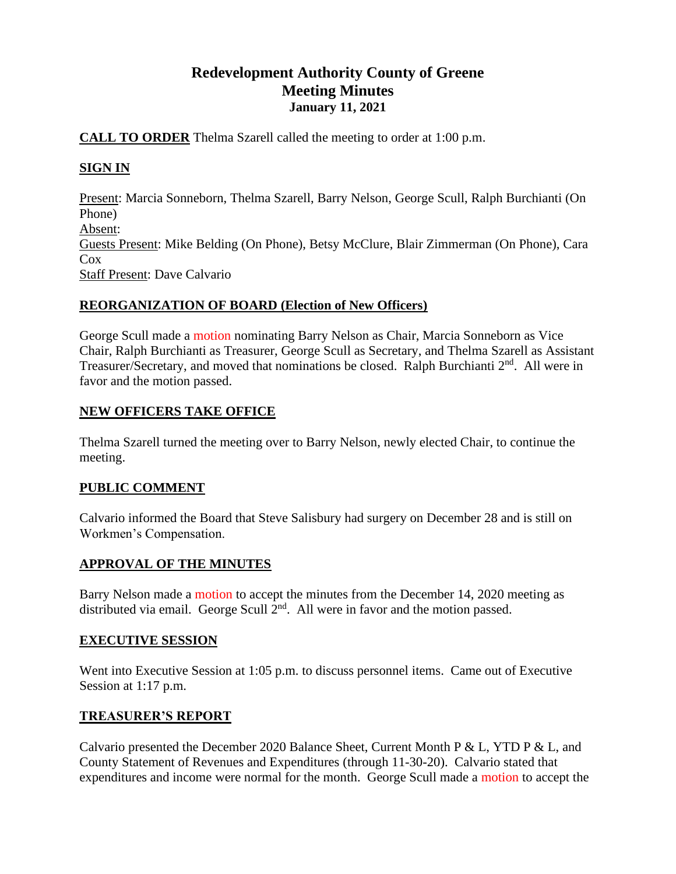# **Redevelopment Authority County of Greene Meeting Minutes January 11, 2021**

### **CALL TO ORDER** Thelma Szarell called the meeting to order at 1:00 p.m.

## **SIGN IN**

Present: Marcia Sonneborn, Thelma Szarell, Barry Nelson, George Scull, Ralph Burchianti (On Phone) Absent: Guests Present: Mike Belding (On Phone), Betsy McClure, Blair Zimmerman (On Phone), Cara Cox Staff Present: Dave Calvario

### **REORGANIZATION OF BOARD (Election of New Officers)**

George Scull made a motion nominating Barry Nelson as Chair, Marcia Sonneborn as Vice Chair, Ralph Burchianti as Treasurer, George Scull as Secretary, and Thelma Szarell as Assistant Treasurer/Secretary, and moved that nominations be closed. Ralph Burchianti 2<sup>nd</sup>. All were in favor and the motion passed.

### **NEW OFFICERS TAKE OFFICE**

Thelma Szarell turned the meeting over to Barry Nelson, newly elected Chair, to continue the meeting.

## **PUBLIC COMMENT**

Calvario informed the Board that Steve Salisbury had surgery on December 28 and is still on Workmen's Compensation.

## **APPROVAL OF THE MINUTES**

Barry Nelson made a motion to accept the minutes from the December 14, 2020 meeting as distributed via email. George Scull  $2<sup>nd</sup>$ . All were in favor and the motion passed.

### **EXECUTIVE SESSION**

Went into Executive Session at 1:05 p.m. to discuss personnel items. Came out of Executive Session at 1:17 p.m.

## **TREASURER'S REPORT**

Calvario presented the December 2020 Balance Sheet, Current Month P & L, YTD P & L, and County Statement of Revenues and Expenditures (through 11-30-20). Calvario stated that expenditures and income were normal for the month. George Scull made a motion to accept the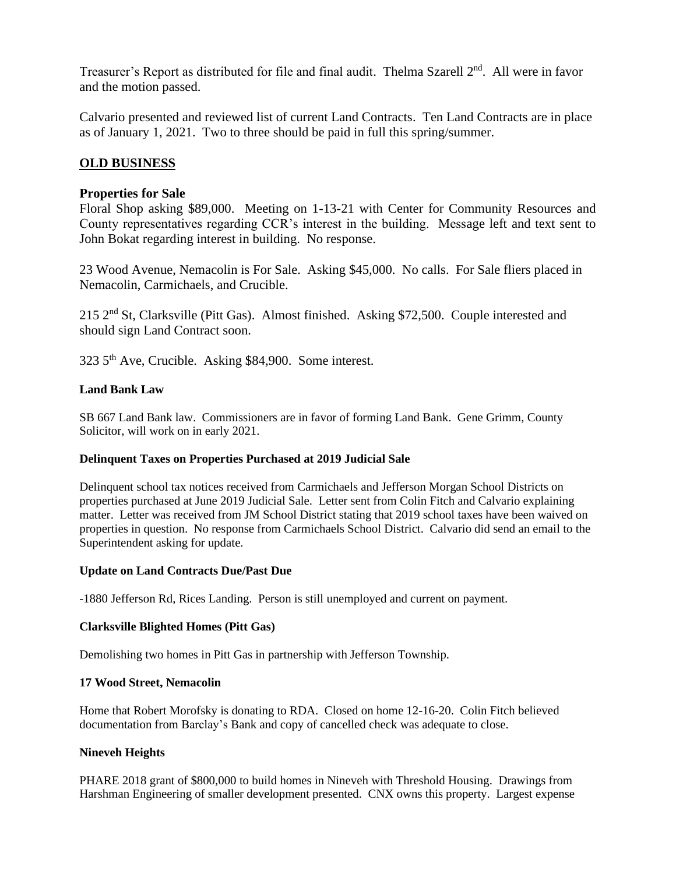Treasurer's Report as distributed for file and final audit. Thelma Szarell 2<sup>nd</sup>. All were in favor and the motion passed.

Calvario presented and reviewed list of current Land Contracts. Ten Land Contracts are in place as of January 1, 2021. Two to three should be paid in full this spring/summer.

### **OLD BUSINESS**

### **Properties for Sale**

Floral Shop asking \$89,000. Meeting on 1-13-21 with Center for Community Resources and County representatives regarding CCR's interest in the building. Message left and text sent to John Bokat regarding interest in building. No response.

23 Wood Avenue, Nemacolin is For Sale. Asking \$45,000. No calls. For Sale fliers placed in Nemacolin, Carmichaels, and Crucible.

215 2nd St, Clarksville (Pitt Gas). Almost finished. Asking \$72,500. Couple interested and should sign Land Contract soon.

323 5th Ave, Crucible. Asking \$84,900. Some interest.

#### **Land Bank Law**

SB 667 Land Bank law. Commissioners are in favor of forming Land Bank. Gene Grimm, County Solicitor, will work on in early 2021.

#### **Delinquent Taxes on Properties Purchased at 2019 Judicial Sale**

Delinquent school tax notices received from Carmichaels and Jefferson Morgan School Districts on properties purchased at June 2019 Judicial Sale. Letter sent from Colin Fitch and Calvario explaining matter. Letter was received from JM School District stating that 2019 school taxes have been waived on properties in question. No response from Carmichaels School District. Calvario did send an email to the Superintendent asking for update.

#### **Update on Land Contracts Due/Past Due**

-1880 Jefferson Rd, Rices Landing. Person is still unemployed and current on payment.

#### **Clarksville Blighted Homes (Pitt Gas)**

Demolishing two homes in Pitt Gas in partnership with Jefferson Township.

#### **17 Wood Street, Nemacolin**

Home that Robert Morofsky is donating to RDA. Closed on home 12-16-20. Colin Fitch believed documentation from Barclay's Bank and copy of cancelled check was adequate to close.

#### **Nineveh Heights**

PHARE 2018 grant of \$800,000 to build homes in Nineveh with Threshold Housing. Drawings from Harshman Engineering of smaller development presented. CNX owns this property. Largest expense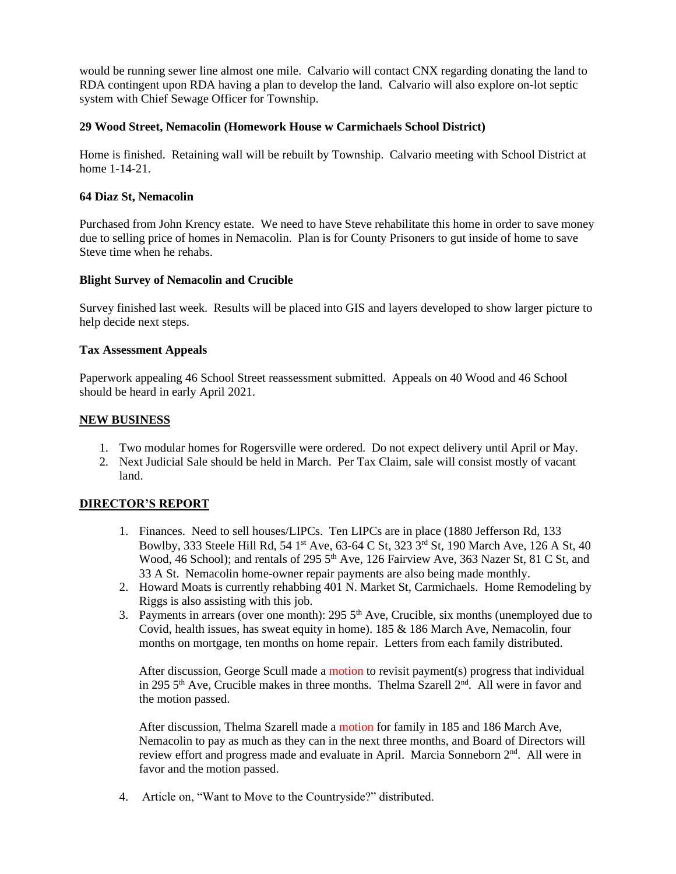would be running sewer line almost one mile. Calvario will contact CNX regarding donating the land to RDA contingent upon RDA having a plan to develop the land. Calvario will also explore on-lot septic system with Chief Sewage Officer for Township.

#### **29 Wood Street, Nemacolin (Homework House w Carmichaels School District)**

Home is finished. Retaining wall will be rebuilt by Township. Calvario meeting with School District at home 1-14-21.

#### **64 Diaz St, Nemacolin**

Purchased from John Krency estate. We need to have Steve rehabilitate this home in order to save money due to selling price of homes in Nemacolin. Plan is for County Prisoners to gut inside of home to save Steve time when he rehabs.

#### **Blight Survey of Nemacolin and Crucible**

Survey finished last week. Results will be placed into GIS and layers developed to show larger picture to help decide next steps.

#### **Tax Assessment Appeals**

Paperwork appealing 46 School Street reassessment submitted. Appeals on 40 Wood and 46 School should be heard in early April 2021.

#### **NEW BUSINESS**

- 1. Two modular homes for Rogersville were ordered. Do not expect delivery until April or May.
- 2. Next Judicial Sale should be held in March. Per Tax Claim, sale will consist mostly of vacant land.

### **DIRECTOR'S REPORT**

- 1. Finances. Need to sell houses/LIPCs. Ten LIPCs are in place (1880 Jefferson Rd, 133 Bowlby, 333 Steele Hill Rd, 54 1<sup>st</sup> Ave, 63-64 C St, 323 3<sup>rd</sup> St, 190 March Ave, 126 A St, 40 Wood, 46 School); and rentals of 295 5<sup>th</sup> Ave, 126 Fairview Ave, 363 Nazer St, 81 C St, and 33 A St. Nemacolin home-owner repair payments are also being made monthly.
- 2. Howard Moats is currently rehabbing 401 N. Market St, Carmichaels. Home Remodeling by Riggs is also assisting with this job.
- 3. Payments in arrears (over one month):  $295\,5^{th}$  Ave, Crucible, six months (unemployed due to Covid, health issues, has sweat equity in home). 185 & 186 March Ave, Nemacolin, four months on mortgage, ten months on home repair. Letters from each family distributed.

After discussion, George Scull made a motion to revisit payment(s) progress that individual in 295  $5<sup>th</sup>$  Ave, Crucible makes in three months. Thelma Szarell  $2<sup>nd</sup>$ . All were in favor and the motion passed.

After discussion, Thelma Szarell made a motion for family in 185 and 186 March Ave, Nemacolin to pay as much as they can in the next three months, and Board of Directors will review effort and progress made and evaluate in April. Marcia Sonneborn 2nd. All were in favor and the motion passed.

4. Article on, "Want to Move to the Countryside?" distributed.